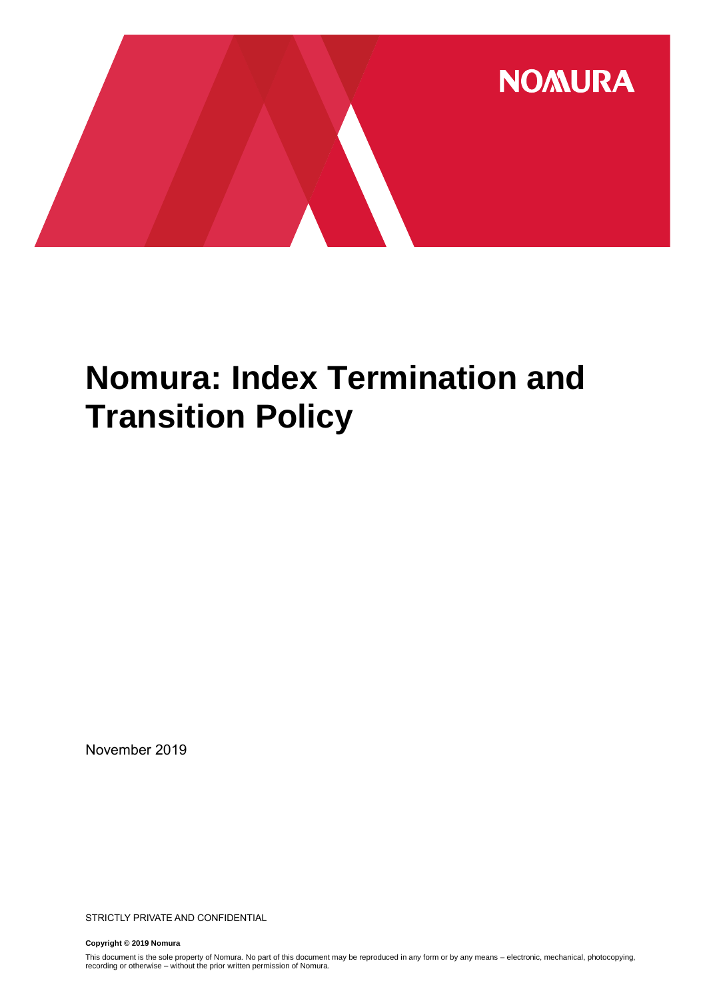

# **Nomura: Index Termination and Transition Policy**

November 2019

STRICTLY PRIVATE AND CONFIDENTIAL

**Copyright © 2019 Nomura**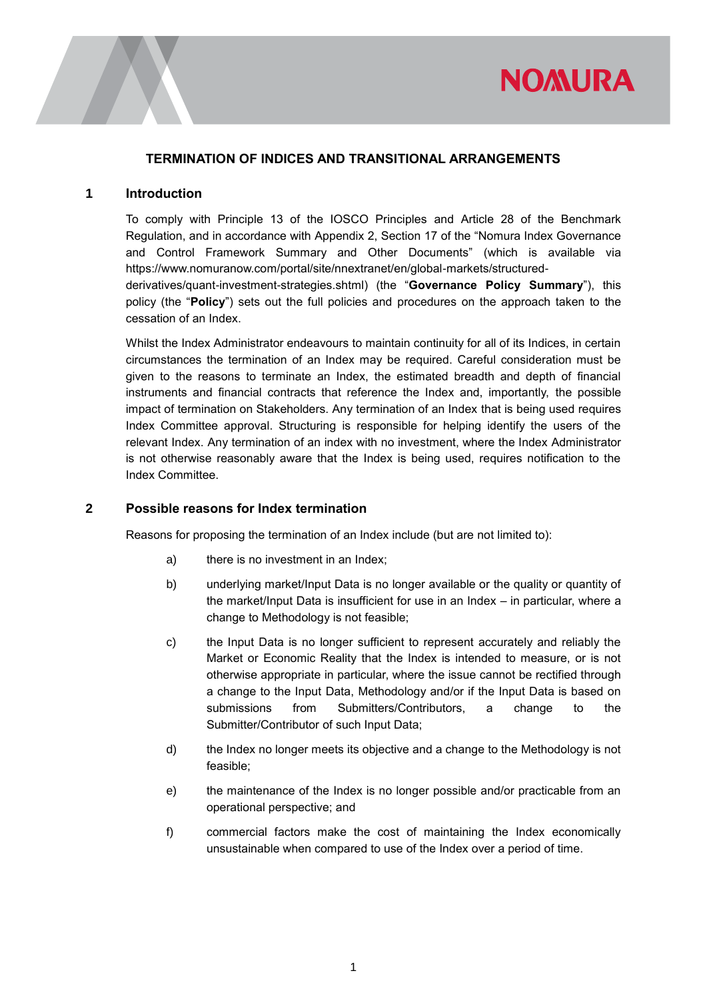

#### **TERMINATION OF INDICES AND TRANSITIONAL ARRANGEMENTS**

#### **1 Introduction**

To comply with Principle 13 of the IOSCO Principles and Article 28 of the Benchmark Regulation, and in accordance with Appendix 2, Section 17 of the "Nomura Index Governance and Control Framework Summary and Other Documents" (which is available via [https://www.nomuranow.com/portal/site/nnextranet/en/global-markets/structured](https://urldefense.proofpoint.com/v2/url?u=https-3A__www.nomuranow.com_portal_site_nnextranet_en_global-2Dmarkets_structured-2Dderivatives_quant-2Dinvestment-2Dstrategies.shtml&d=DwMF-g&c=qQy84HidZKks1AzH1tNzCKFxsPy43_OhvfM1avj4FME&r=PaGL0ZZJjOQgMpEx-QaHGeFUrrKifYZ_mm91W_Z0ftI&m=fYx5IJkzE82Esj3HzUwFHdO5LnvQiDxIZ87xNX8mfv8&s=LPTxtzr1HDSxR3nqUd4uGYzpxmSBUdg8C7PleFUb1CY&e=)[derivatives/quant-investment-strategies.shtml\)](https://urldefense.proofpoint.com/v2/url?u=https-3A__www.nomuranow.com_portal_site_nnextranet_en_global-2Dmarkets_structured-2Dderivatives_quant-2Dinvestment-2Dstrategies.shtml&d=DwMF-g&c=qQy84HidZKks1AzH1tNzCKFxsPy43_OhvfM1avj4FME&r=PaGL0ZZJjOQgMpEx-QaHGeFUrrKifYZ_mm91W_Z0ftI&m=fYx5IJkzE82Esj3HzUwFHdO5LnvQiDxIZ87xNX8mfv8&s=LPTxtzr1HDSxR3nqUd4uGYzpxmSBUdg8C7PleFUb1CY&e=) (the "**Governance Policy Summary**"), this policy (the "**Policy**") sets out the full policies and procedures on the approach taken to the cessation of an Index.

Whilst the Index Administrator endeavours to maintain continuity for all of its Indices, in certain circumstances the termination of an Index may be required. Careful consideration must be given to the reasons to terminate an Index, the estimated breadth and depth of financial instruments and financial contracts that reference the Index and, importantly, the possible impact of termination on Stakeholders. Any termination of an Index that is being used requires Index Committee approval. Structuring is responsible for helping identify the users of the relevant Index. Any termination of an index with no investment, where the Index Administrator is not otherwise reasonably aware that the Index is being used, requires notification to the Index Committee.

#### **2 Possible reasons for Index termination**

Reasons for proposing the termination of an Index include (but are not limited to):

- a) there is no investment in an Index;
- b) underlying market/Input Data is no longer available or the quality or quantity of the market/Input Data is insufficient for use in an Index – in particular, where a change to Methodology is not feasible;
- c) the Input Data is no longer sufficient to represent accurately and reliably the Market or Economic Reality that the Index is intended to measure, or is not otherwise appropriate in particular, where the issue cannot be rectified through a change to the Input Data, Methodology and/or if the Input Data is based on submissions from Submitters/Contributors, a change to the Submitter/Contributor of such Input Data;
- d) the Index no longer meets its objective and a change to the Methodology is not feasible;
- e) the maintenance of the Index is no longer possible and/or practicable from an operational perspective; and
- f) commercial factors make the cost of maintaining the Index economically unsustainable when compared to use of the Index over a period of time.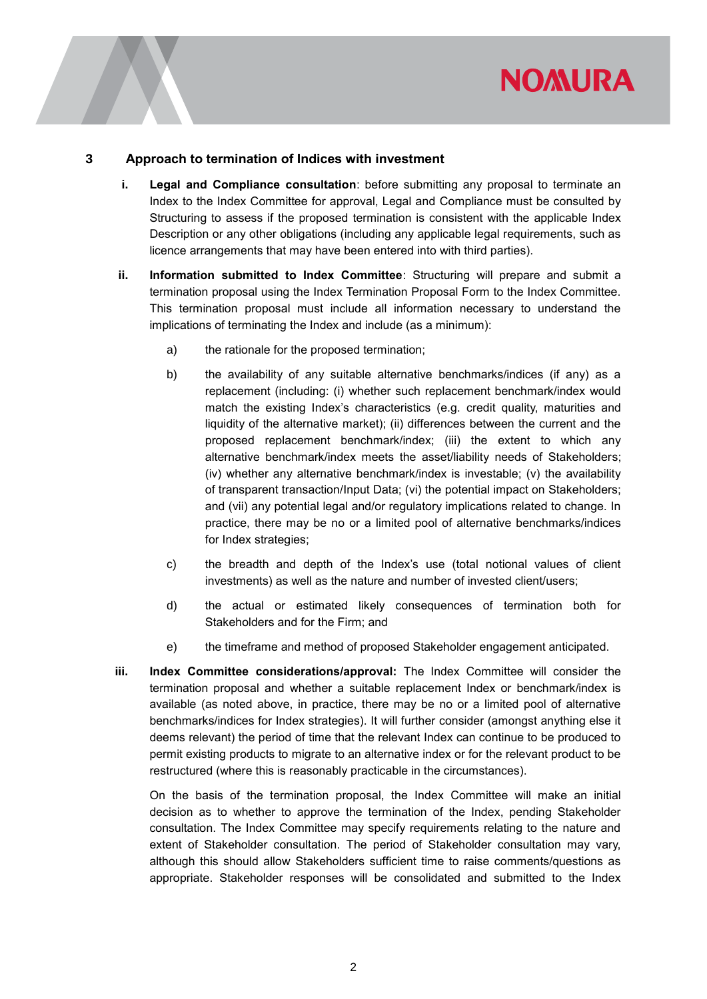#### **3 Approach to termination of Indices with investment**

- **i. Legal and Compliance consultation**: before submitting any proposal to terminate an Index to the Index Committee for approval, Legal and Compliance must be consulted by Structuring to assess if the proposed termination is consistent with the applicable Index Description or any other obligations (including any applicable legal requirements, such as licence arrangements that may have been entered into with third parties).
- **ii. Information submitted to Index Committee**: Structuring will prepare and submit a termination proposal using the Index Termination Proposal Form to the Index Committee. This termination proposal must include all information necessary to understand the implications of terminating the Index and include (as a minimum):
	- a) the rationale for the proposed termination;
	- b) the availability of any suitable alternative benchmarks/indices (if any) as a replacement (including: (i) whether such replacement benchmark/index would match the existing Index's characteristics (e.g. credit quality, maturities and liquidity of the alternative market); (ii) differences between the current and the proposed replacement benchmark/index; (iii) the extent to which any alternative benchmark/index meets the asset/liability needs of Stakeholders; (iv) whether any alternative benchmark/index is investable; (v) the availability of transparent transaction/Input Data; (vi) the potential impact on Stakeholders; and (vii) any potential legal and/or regulatory implications related to change. In practice, there may be no or a limited pool of alternative benchmarks/indices for Index strategies;
	- c) the breadth and depth of the Index's use (total notional values of client investments) as well as the nature and number of invested client/users;
	- d) the actual or estimated likely consequences of termination both for Stakeholders and for the Firm; and
	- e) the timeframe and method of proposed Stakeholder engagement anticipated.
- **iii. Index Committee considerations/approval:** The Index Committee will consider the termination proposal and whether a suitable replacement Index or benchmark/index is available (as noted above, in practice, there may be no or a limited pool of alternative benchmarks/indices for Index strategies). It will further consider (amongst anything else it deems relevant) the period of time that the relevant Index can continue to be produced to permit existing products to migrate to an alternative index or for the relevant product to be restructured (where this is reasonably practicable in the circumstances).

On the basis of the termination proposal, the Index Committee will make an initial decision as to whether to approve the termination of the Index, pending Stakeholder consultation. The Index Committee may specify requirements relating to the nature and extent of Stakeholder consultation. The period of Stakeholder consultation may vary, although this should allow Stakeholders sufficient time to raise comments/questions as appropriate. Stakeholder responses will be consolidated and submitted to the Index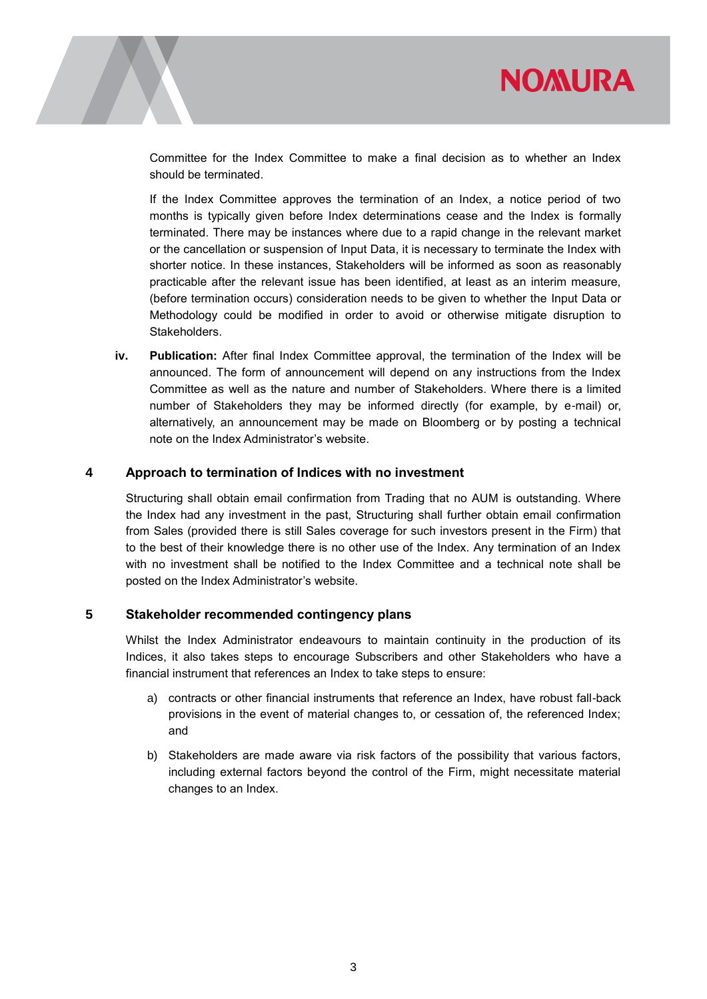

Committee for the Index Committee to make a final decision as to whether an Index should be terminated.

If the Index Committee approves the termination of an Index, a notice period of two months is typically given before Index determinations cease and the Index is formally terminated. There may be instances where due to a rapid change in the relevant market or the cancellation or suspension of Input Data, it is necessary to terminate the Index with shorter notice. In these instances, Stakeholders will be informed as soon as reasonably practicable after the relevant issue has been identified, at least as an interim measure, (before termination occurs) consideration needs to be given to whether the Input Data or Methodology could be modified in order to avoid or otherwise mitigate disruption to Stakeholders.

**iv. Publication:** After final Index Committee approval, the termination of the Index will be announced. The form of announcement will depend on any instructions from the Index Committee as well as the nature and number of Stakeholders. Where there is a limited number of Stakeholders they may be informed directly (for example, by e-mail) or, alternatively, an announcement may be made on Bloomberg or by posting a technical note on the Index Administrator's website.

#### **4 Approach to termination of Indices with no investment**

Structuring shall obtain email confirmation from Trading that no AUM is outstanding. Where the Index had any investment in the past, Structuring shall further obtain email confirmation from Sales (provided there is still Sales coverage for such investors present in the Firm) that to the best of their knowledge there is no other use of the Index. Any termination of an Index with no investment shall be notified to the Index Committee and a technical note shall be posted on the Index Administrator's website.

#### **5 Stakeholder recommended contingency plans**

Whilst the Index Administrator endeavours to maintain continuity in the production of its Indices, it also takes steps to encourage Subscribers and other Stakeholders who have a financial instrument that references an Index to take steps to ensure:

- a) contracts or other financial instruments that reference an Index, have robust fall-back provisions in the event of material changes to, or cessation of, the referenced Index; and
- b) Stakeholders are made aware via risk factors of the possibility that various factors, including external factors beyond the control of the Firm, might necessitate material changes to an Index.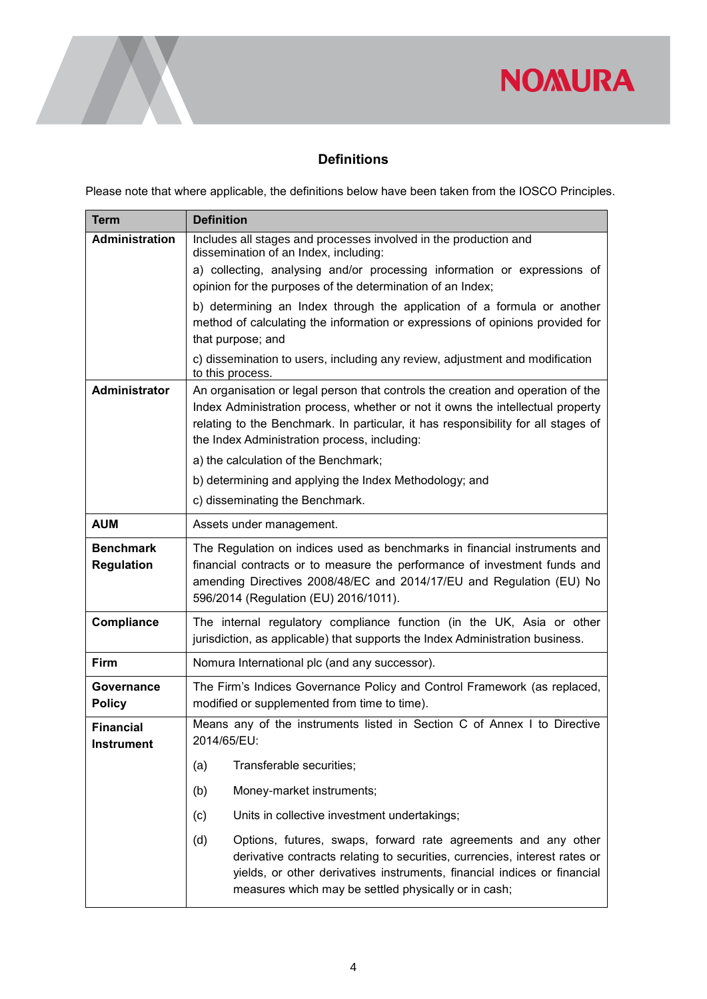

#### **Definitions**

Please note that where applicable, the definitions below have been taken from the IOSCO Principles.

| <b>Term</b>                           | <b>Definition</b>                                                                                                                                                                                                                                                                                      |
|---------------------------------------|--------------------------------------------------------------------------------------------------------------------------------------------------------------------------------------------------------------------------------------------------------------------------------------------------------|
| <b>Administration</b>                 | Includes all stages and processes involved in the production and<br>dissemination of an Index, including:                                                                                                                                                                                              |
|                                       | a) collecting, analysing and/or processing information or expressions of                                                                                                                                                                                                                               |
|                                       | opinion for the purposes of the determination of an Index;                                                                                                                                                                                                                                             |
|                                       | b) determining an Index through the application of a formula or another                                                                                                                                                                                                                                |
|                                       | method of calculating the information or expressions of opinions provided for<br>that purpose; and                                                                                                                                                                                                     |
|                                       | c) dissemination to users, including any review, adjustment and modification<br>to this process.                                                                                                                                                                                                       |
| Administrator                         | An organisation or legal person that controls the creation and operation of the<br>Index Administration process, whether or not it owns the intellectual property<br>relating to the Benchmark. In particular, it has responsibility for all stages of<br>the Index Administration process, including: |
|                                       | a) the calculation of the Benchmark;                                                                                                                                                                                                                                                                   |
|                                       | b) determining and applying the Index Methodology; and                                                                                                                                                                                                                                                 |
|                                       | c) disseminating the Benchmark.                                                                                                                                                                                                                                                                        |
| <b>AUM</b>                            | Assets under management.                                                                                                                                                                                                                                                                               |
| <b>Benchmark</b><br><b>Regulation</b> | The Regulation on indices used as benchmarks in financial instruments and<br>financial contracts or to measure the performance of investment funds and<br>amending Directives 2008/48/EC and 2014/17/EU and Regulation (EU) No<br>596/2014 (Regulation (EU) 2016/1011).                                |
| Compliance                            | The internal regulatory compliance function (in the UK, Asia or other<br>jurisdiction, as applicable) that supports the Index Administration business.                                                                                                                                                 |
| <b>Firm</b>                           | Nomura International plc (and any successor).                                                                                                                                                                                                                                                          |
| Governance<br><b>Policy</b>           | The Firm's Indices Governance Policy and Control Framework (as replaced,<br>modified or supplemented from time to time).                                                                                                                                                                               |
| <b>Financial</b><br><b>Instrument</b> | Means any of the instruments listed in Section C of Annex I to Directive<br>2014/65/EU:                                                                                                                                                                                                                |
|                                       | (a)<br>Transferable securities;                                                                                                                                                                                                                                                                        |
|                                       | (b)<br>Money-market instruments;                                                                                                                                                                                                                                                                       |
|                                       | (c)<br>Units in collective investment undertakings;                                                                                                                                                                                                                                                    |
|                                       | (d)<br>Options, futures, swaps, forward rate agreements and any other<br>derivative contracts relating to securities, currencies, interest rates or<br>yields, or other derivatives instruments, financial indices or financial<br>measures which may be settled physically or in cash;                |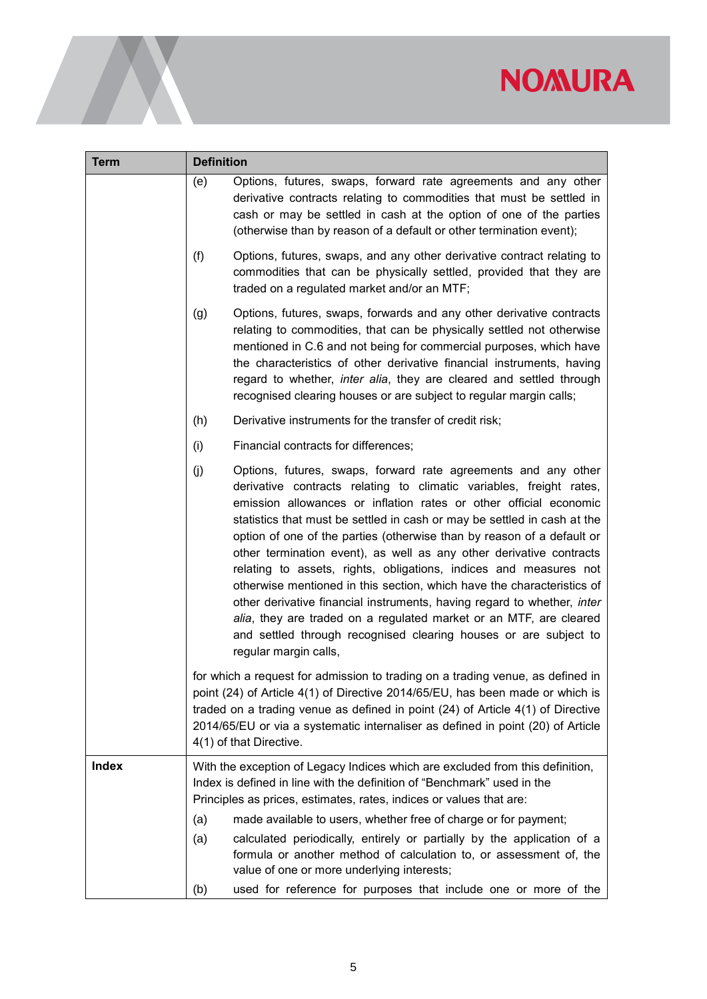| <b>Term</b>  | <b>Definition</b>                                                                                                                                                                                                                                                                                                                                                                                                                                                                                                                                                                                                                                                                                                                                                                                                                           |
|--------------|---------------------------------------------------------------------------------------------------------------------------------------------------------------------------------------------------------------------------------------------------------------------------------------------------------------------------------------------------------------------------------------------------------------------------------------------------------------------------------------------------------------------------------------------------------------------------------------------------------------------------------------------------------------------------------------------------------------------------------------------------------------------------------------------------------------------------------------------|
|              | Options, futures, swaps, forward rate agreements and any other<br>(e)<br>derivative contracts relating to commodities that must be settled in<br>cash or may be settled in cash at the option of one of the parties<br>(otherwise than by reason of a default or other termination event);                                                                                                                                                                                                                                                                                                                                                                                                                                                                                                                                                  |
|              | (f)<br>Options, futures, swaps, and any other derivative contract relating to<br>commodities that can be physically settled, provided that they are<br>traded on a regulated market and/or an MTF;                                                                                                                                                                                                                                                                                                                                                                                                                                                                                                                                                                                                                                          |
|              | Options, futures, swaps, forwards and any other derivative contracts<br>(g)<br>relating to commodities, that can be physically settled not otherwise<br>mentioned in C.6 and not being for commercial purposes, which have<br>the characteristics of other derivative financial instruments, having<br>regard to whether, <i>inter alia</i> , they are cleared and settled through<br>recognised clearing houses or are subject to regular margin calls;                                                                                                                                                                                                                                                                                                                                                                                    |
|              | Derivative instruments for the transfer of credit risk;<br>(h)                                                                                                                                                                                                                                                                                                                                                                                                                                                                                                                                                                                                                                                                                                                                                                              |
|              | Financial contracts for differences;<br>(i)                                                                                                                                                                                                                                                                                                                                                                                                                                                                                                                                                                                                                                                                                                                                                                                                 |
|              | (j)<br>Options, futures, swaps, forward rate agreements and any other<br>derivative contracts relating to climatic variables, freight rates,<br>emission allowances or inflation rates or other official economic<br>statistics that must be settled in cash or may be settled in cash at the<br>option of one of the parties (otherwise than by reason of a default or<br>other termination event), as well as any other derivative contracts<br>relating to assets, rights, obligations, indices and measures not<br>otherwise mentioned in this section, which have the characteristics of<br>other derivative financial instruments, having regard to whether, inter<br>alia, they are traded on a regulated market or an MTF, are cleared<br>and settled through recognised clearing houses or are subject to<br>regular margin calls, |
|              | for which a request for admission to trading on a trading venue, as defined in<br>point (24) of Article 4(1) of Directive 2014/65/EU, has been made or which is<br>traded on a trading venue as defined in point (24) of Article 4(1) of Directive<br>2014/65/EU or via a systematic internaliser as defined in point (20) of Article<br>4(1) of that Directive.                                                                                                                                                                                                                                                                                                                                                                                                                                                                            |
| <b>Index</b> | With the exception of Legacy Indices which are excluded from this definition,<br>Index is defined in line with the definition of "Benchmark" used in the<br>Principles as prices, estimates, rates, indices or values that are:<br>made available to users, whether free of charge or for payment;<br>(a)<br>calculated periodically, entirely or partially by the application of a<br>(a)                                                                                                                                                                                                                                                                                                                                                                                                                                                  |
|              | formula or another method of calculation to, or assessment of, the<br>value of one or more underlying interests;                                                                                                                                                                                                                                                                                                                                                                                                                                                                                                                                                                                                                                                                                                                            |
|              | used for reference for purposes that include one or more of the<br>(b)                                                                                                                                                                                                                                                                                                                                                                                                                                                                                                                                                                                                                                                                                                                                                                      |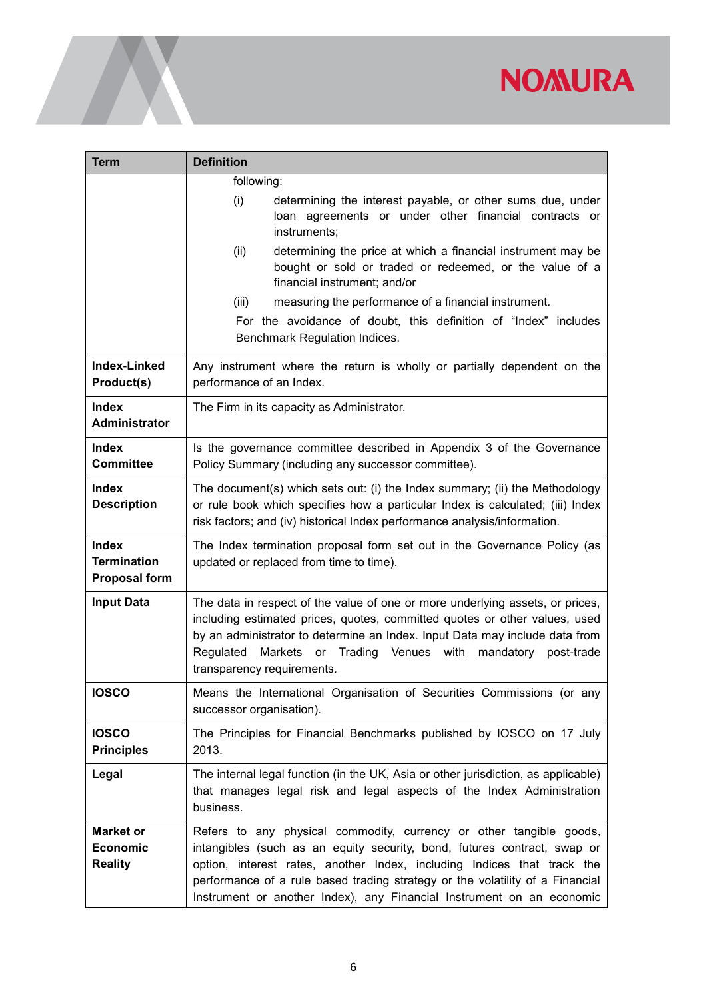| Term                                                       | <b>Definition</b>                                                                                                                                                                                                                                                                                                                                                                    |
|------------------------------------------------------------|--------------------------------------------------------------------------------------------------------------------------------------------------------------------------------------------------------------------------------------------------------------------------------------------------------------------------------------------------------------------------------------|
|                                                            | following:                                                                                                                                                                                                                                                                                                                                                                           |
|                                                            | (i)<br>determining the interest payable, or other sums due, under<br>loan agreements or under other financial contracts or<br>instruments;                                                                                                                                                                                                                                           |
|                                                            | determining the price at which a financial instrument may be<br>(ii)<br>bought or sold or traded or redeemed, or the value of a<br>financial instrument; and/or                                                                                                                                                                                                                      |
|                                                            | measuring the performance of a financial instrument.<br>(iii)                                                                                                                                                                                                                                                                                                                        |
|                                                            | For the avoidance of doubt, this definition of "Index" includes<br>Benchmark Regulation Indices.                                                                                                                                                                                                                                                                                     |
| Index-Linked<br>Product(s)                                 | Any instrument where the return is wholly or partially dependent on the<br>performance of an Index.                                                                                                                                                                                                                                                                                  |
| <b>Index</b><br>Administrator                              | The Firm in its capacity as Administrator.                                                                                                                                                                                                                                                                                                                                           |
| <b>Index</b><br><b>Committee</b>                           | Is the governance committee described in Appendix 3 of the Governance<br>Policy Summary (including any successor committee).                                                                                                                                                                                                                                                         |
| <b>Index</b><br><b>Description</b>                         | The document(s) which sets out: (i) the Index summary; (ii) the Methodology<br>or rule book which specifies how a particular Index is calculated; (iii) Index<br>risk factors; and (iv) historical Index performance analysis/information.                                                                                                                                           |
| <b>Index</b><br><b>Termination</b><br><b>Proposal form</b> | The Index termination proposal form set out in the Governance Policy (as<br>updated or replaced from time to time).                                                                                                                                                                                                                                                                  |
| <b>Input Data</b>                                          | The data in respect of the value of one or more underlying assets, or prices,<br>including estimated prices, quotes, committed quotes or other values, used<br>by an administrator to determine an Index. Input Data may include data from<br>Regulated<br>Markets or Trading Venues with<br>mandatory<br>post-trade<br>transparency requirements.                                   |
| <b>IOSCO</b>                                               | Means the International Organisation of Securities Commissions (or any<br>successor organisation).                                                                                                                                                                                                                                                                                   |
| <b>IOSCO</b><br><b>Principles</b>                          | The Principles for Financial Benchmarks published by IOSCO on 17 July<br>2013.                                                                                                                                                                                                                                                                                                       |
| Legal                                                      | The internal legal function (in the UK, Asia or other jurisdiction, as applicable)<br>that manages legal risk and legal aspects of the Index Administration<br>business.                                                                                                                                                                                                             |
| <b>Market or</b><br><b>Economic</b><br><b>Reality</b>      | Refers to any physical commodity, currency or other tangible goods,<br>intangibles (such as an equity security, bond, futures contract, swap or<br>option, interest rates, another Index, including Indices that track the<br>performance of a rule based trading strategy or the volatility of a Financial<br>Instrument or another Index), any Financial Instrument on an economic |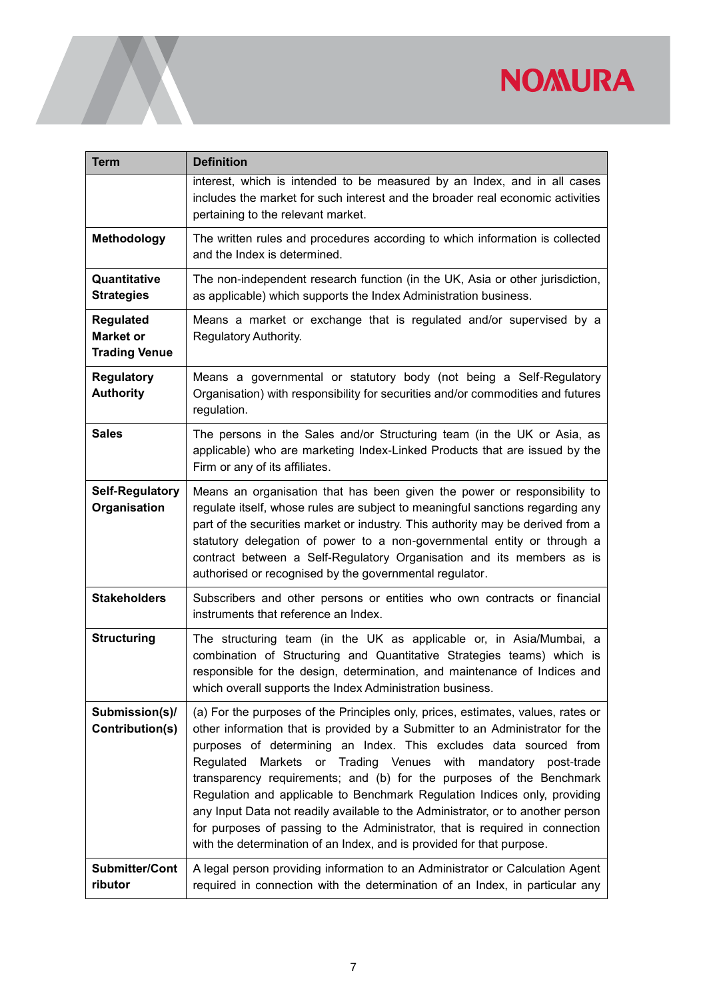| <b>Term</b>                                                  | <b>Definition</b>                                                                                                                                                                                                                                                                                                                                                                                                                                                                                                                                                                                                                                                                                                                       |
|--------------------------------------------------------------|-----------------------------------------------------------------------------------------------------------------------------------------------------------------------------------------------------------------------------------------------------------------------------------------------------------------------------------------------------------------------------------------------------------------------------------------------------------------------------------------------------------------------------------------------------------------------------------------------------------------------------------------------------------------------------------------------------------------------------------------|
|                                                              | interest, which is intended to be measured by an Index, and in all cases<br>includes the market for such interest and the broader real economic activities<br>pertaining to the relevant market.                                                                                                                                                                                                                                                                                                                                                                                                                                                                                                                                        |
| <b>Methodology</b>                                           | The written rules and procedures according to which information is collected<br>and the Index is determined.                                                                                                                                                                                                                                                                                                                                                                                                                                                                                                                                                                                                                            |
| Quantitative<br><b>Strategies</b>                            | The non-independent research function (in the UK, Asia or other jurisdiction,<br>as applicable) which supports the Index Administration business.                                                                                                                                                                                                                                                                                                                                                                                                                                                                                                                                                                                       |
| <b>Regulated</b><br><b>Market or</b><br><b>Trading Venue</b> | Means a market or exchange that is regulated and/or supervised by a<br>Regulatory Authority.                                                                                                                                                                                                                                                                                                                                                                                                                                                                                                                                                                                                                                            |
| <b>Regulatory</b><br><b>Authority</b>                        | Means a governmental or statutory body (not being a Self-Regulatory<br>Organisation) with responsibility for securities and/or commodities and futures<br>regulation.                                                                                                                                                                                                                                                                                                                                                                                                                                                                                                                                                                   |
| <b>Sales</b>                                                 | The persons in the Sales and/or Structuring team (in the UK or Asia, as<br>applicable) who are marketing Index-Linked Products that are issued by the<br>Firm or any of its affiliates.                                                                                                                                                                                                                                                                                                                                                                                                                                                                                                                                                 |
| <b>Self-Regulatory</b><br>Organisation                       | Means an organisation that has been given the power or responsibility to<br>regulate itself, whose rules are subject to meaningful sanctions regarding any<br>part of the securities market or industry. This authority may be derived from a<br>statutory delegation of power to a non-governmental entity or through a<br>contract between a Self-Regulatory Organisation and its members as is<br>authorised or recognised by the governmental regulator.                                                                                                                                                                                                                                                                            |
| <b>Stakeholders</b>                                          | Subscribers and other persons or entities who own contracts or financial<br>instruments that reference an Index.                                                                                                                                                                                                                                                                                                                                                                                                                                                                                                                                                                                                                        |
| <b>Structuring</b>                                           | The structuring team (in the UK as applicable or, in Asia/Mumbai, a<br>combination of Structuring and Quantitative Strategies teams) which is<br>responsible for the design, determination, and maintenance of Indices and<br>which overall supports the Index Administration business.                                                                                                                                                                                                                                                                                                                                                                                                                                                 |
| Submission(s)/<br>Contribution(s)                            | (a) For the purposes of the Principles only, prices, estimates, values, rates or<br>other information that is provided by a Submitter to an Administrator for the<br>purposes of determining an Index. This excludes data sourced from<br>Markets<br>Trading Venues<br>with<br>Regulated<br>$\mathsf{or}\,$<br>mandatory<br>post-trade<br>transparency requirements; and (b) for the purposes of the Benchmark<br>Regulation and applicable to Benchmark Regulation Indices only, providing<br>any Input Data not readily available to the Administrator, or to another person<br>for purposes of passing to the Administrator, that is required in connection<br>with the determination of an Index, and is provided for that purpose. |
| <b>Submitter/Cont</b><br>ributor                             | A legal person providing information to an Administrator or Calculation Agent<br>required in connection with the determination of an Index, in particular any                                                                                                                                                                                                                                                                                                                                                                                                                                                                                                                                                                           |